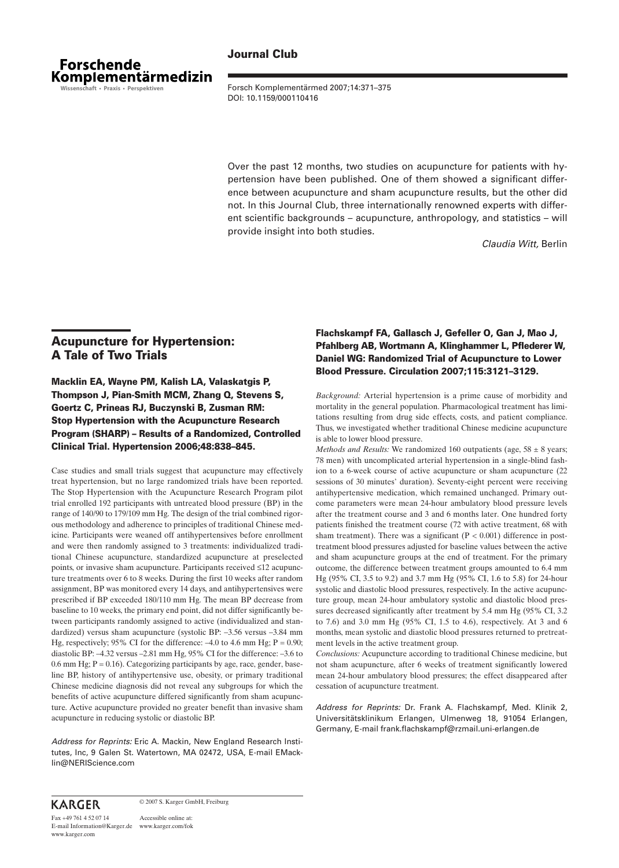

**Journal Club**

Forsch Komplementärmed 2007;14:371–375 DOI: 10.1159/000110416

Over the past 12 months, two studies on acupuncture for patients with hypertension have been published. One of them showed a significant difference between acupuncture and sham acupuncture results, but the other did not. In this Journal Club, three internationally renowned experts with different scientific backgrounds – acupuncture, anthropology, and statistics – will provide insight into both studies.

*Claudia Witt,* Berlin

# **Acupuncture for Hypertension: A Tale of Two Trials**

**Macklin EA, Wayne PM, Kalish LA, Valaskatgis P, Thompson J, Pian-Smith MCM, Zhang Q, Stevens S, Goertz C, Prineas RJ, Buczynski B, Zusman RM: Stop Hypertension with the Acupuncture Research Program (SHARP) – Results of a Randomized, Controlled Clinical Trial. Hypertension 2006;48:838–845.**

treat hypertension, but no large randomized trials have been reported. sessions of 30 minutes' duration). Sevent Case studies and small trials suggest that acupuncture may effectively The Stop Hypertension with the Acupuncture Research Program pilot trial enrolled 192 participants with untreated blood pressure (BP) in the range of 140/90 to 179/109 mm Hg. The design of the trial combined rigorous methodology and adherence to principles of traditional Chinese medicine. Participants were weaned off antihypertensives before enrollment and were then randomly assigned to 3 treatments: individualized traditional Chinese acupuncture, standardized acupuncture at preselected points, or invasive sham acupuncture. Participants received ≤12 acupuncture treatments over 6 to 8 weeks. During the first 10 weeks after random assignment, BP was monitored every 14 days, and antihypertensives were prescribed if BP exceeded 180/110 mm Hg. The mean BP decrease from baseline to 10 weeks, the primary end point, did not differ significantly between participants randomly assigned to active (individualized and standardized) versus sham acupuncture (systolic BP: –3.56 versus –3.84 mm Hg, respectively; 95% CI for the difference:  $-4.0$  to 4.6 mm Hg; P = 0.90; diastolic BP: –4.32 versus –2.81 mm Hg, 95% CI for the difference: –3.6 to 0.6 mm Hg;  $P = 0.16$ ). Categorizing participants by age, race, gender, baseline BP, history of antihypertensive use, obesity, or primary traditional Chinese medicine diagnosis did not reveal any subgroups for which the benefits of active acupuncture differed significantly from sham acupuncture. Active acupuncture provided no greater benefit than invasive sham acupuncture in reducing systolic or diastolic BP.

> *Address for Reprints:* Eric A. Mackin, New England Research Institutes, Inc, 9 Galen St. Watertown, MA 02472, USA, E-mail EMacklin@NERIScience.com

## **Flachskampf FA, Gallasch J, Gefeller O, Gan J, Mao J, Pfahlberg AB, Wortmann A, Klinghammer L, Pflederer W, Daniel WG: Randomized Trial of Acupuncture to Lower Blood Pressure. Circulation 2007;115:3121–3129.**

*Background:* Arterial hypertension is a prime cause of morbidity and mortality in the general population. Pharmacological treatment has limitations resulting from drug side effects, costs, and patient compliance. Thus, we investigated whether traditional Chinese medicine acupuncture is able to lower blood pressure.

*Methods and Results:* We randomized 160 outpatients (age,  $58 \pm 8$  years; 78 men) with uncomplicated arterial hypertension in a single-blind fashion to a 6-week course of active acupuncture or sham acupuncture (22 sessions of 30 minutes' duration). Seventy-eight percent were receiving antihypertensive medication, which remained unchanged. Primary outcome parameters were mean 24-hour ambulatory blood pressure levels after the treatment course and 3 and 6 months later. One hundred forty patients finished the treatment course (72 with active treatment, 68 with sham treatment). There was a significant  $(P < 0.001)$  difference in posttreatment blood pressures adjusted for baseline values between the active and sham acupuncture groups at the end of treatment. For the primary outcome, the difference between treatment groups amounted to 6.4 mm Hg (95% CI, 3.5 to 9.2) and 3.7 mm Hg (95% CI, 1.6 to 5.8) for 24-hour systolic and diastolic blood pressures, respectively. In the active acupuncture group, mean 24-hour ambulatory systolic and diastolic blood pressures decreased significantly after treatment by 5.4 mm Hg (95% CI, 3.2 to 7.6) and 3.0 mm Hg (95% CI, 1.5 to 4.6), respectively. At 3 and 6 months, mean systolic and diastolic blood pressures returned to pretreatment levels in the active treatment group.

*Conclusions:* Acupuncture according to traditional Chinese medicine, but not sham acupuncture, after 6 weeks of treatment significantly lowered mean 24-hour ambulatory blood pressures; the effect disappeared after cessation of acupuncture treatment.

*Address for Reprints:* Dr. Frank A. Flachskampf, Med. Klinik 2, Universitätsklinikum Erlangen, Ulmenweg 18, 91054 Erlangen, Germany, E-mail frank.flachskampf@rzmail.uni-erlangen.de

# **KARGER**

© 2007 S. Karger GmbH, Freiburg

Accessible online at: E-mail Information@Karger.de www.karger.com/fok Fax +49 761 4 52 07 14 www.karger.com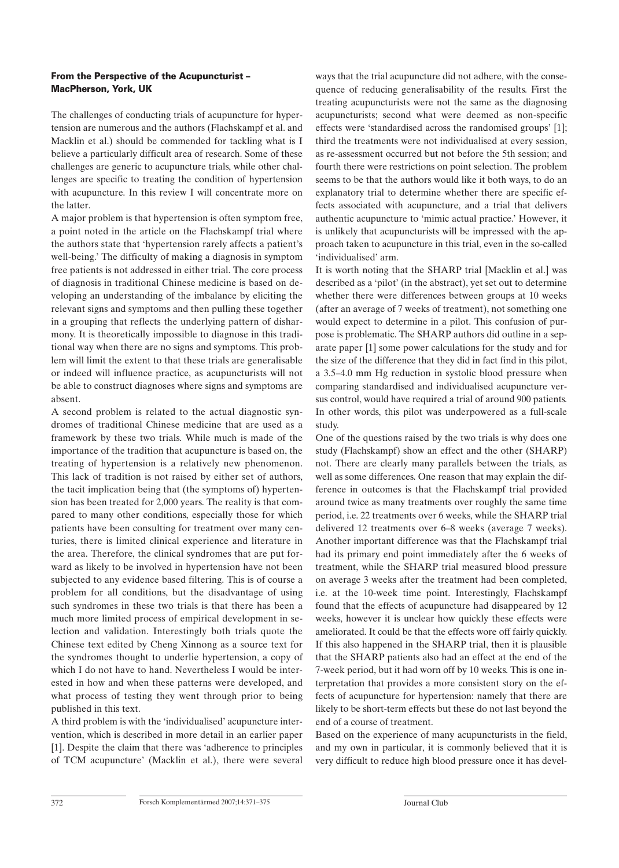#### **From the Perspective of the Acupuncturist – MacPherson, York, UK**

The challenges of conducting trials of acupuncture for hypertension are numerous and the authors (Flachskampf et al. and Macklin et al.) should be commended for tackling what is I believe a particularly difficult area of research. Some of these challenges are generic to acupuncture trials, while other challenges are specific to treating the condition of hypertension with acupuncture. In this review I will concentrate more on the latter.

A major problem is that hypertension is often symptom free, a point noted in the article on the Flachskampf trial where the authors state that 'hypertension rarely affects a patient's well-being.' The difficulty of making a diagnosis in symptom free patients is not addressed in either trial. The core process of diagnosis in traditional Chinese medicine is based on developing an understanding of the imbalance by eliciting the relevant signs and symptoms and then pulling these together in a grouping that reflects the underlying pattern of disharmony. It is theoretically impossible to diagnose in this traditional way when there are no signs and symptoms. This problem will limit the extent to that these trials are generalisable or indeed will influence practice, as acupuncturists will not be able to construct diagnoses where signs and symptoms are absent.

A second problem is related to the actual diagnostic syndromes of traditional Chinese medicine that are used as a framework by these two trials. While much is made of the importance of the tradition that acupuncture is based on, the treating of hypertension is a relatively new phenomenon. This lack of tradition is not raised by either set of authors, the tacit implication being that (the symptoms of) hypertension has been treated for 2,000 years. The reality is that compared to many other conditions, especially those for which patients have been consulting for treatment over many centuries, there is limited clinical experience and literature in the area. Therefore, the clinical syndromes that are put forward as likely to be involved in hypertension have not been subjected to any evidence based filtering. This is of course a problem for all conditions, but the disadvantage of using such syndromes in these two trials is that there has been a much more limited process of empirical development in selection and validation. Interestingly both trials quote the Chinese text edited by Cheng Xinnong as a source text for the syndromes thought to underlie hypertension, a copy of which I do not have to hand. Nevertheless I would be interested in how and when these patterns were developed, and what process of testing they went through prior to being published in this text.

A third problem is with the 'individualised' acupuncture intervention, which is described in more detail in an earlier paper [1]. Despite the claim that there was 'adherence to principles of TCM acupuncture' (Macklin et al.), there were several ways that the trial acupuncture did not adhere, with the consequence of reducing generalisability of the results. First the treating acupuncturists were not the same as the diagnosing acupuncturists; second what were deemed as non-specific effects were 'standardised across the randomised groups' [1]; third the treatments were not individualised at every session, as re-assessment occurred but not before the 5th session; and fourth there were restrictions on point selection. The problem seems to be that the authors would like it both ways, to do an explanatory trial to determine whether there are specific effects associated with acupuncture, and a trial that delivers authentic acupuncture to 'mimic actual practice.' However, it is unlikely that acupuncturists will be impressed with the approach taken to acupuncture in this trial, even in the so-called 'individualised' arm.

It is worth noting that the SHARP trial [Macklin et al.] was described as a 'pilot' (in the abstract), yet set out to determine whether there were differences between groups at 10 weeks (after an average of 7 weeks of treatment), not something one would expect to determine in a pilot. This confusion of purpose is problematic. The SHARP authors did outline in a separate paper [1] some power calculations for the study and for the size of the difference that they did in fact find in this pilot, a 3.5–4.0 mm Hg reduction in systolic blood pressure when comparing standardised and individualised acupuncture versus control, would have required a trial of around 900 patients. In other words, this pilot was underpowered as a full-scale study.

One of the questions raised by the two trials is why does one study (Flachskampf) show an effect and the other (SHARP) not. There are clearly many parallels between the trials, as well as some differences. One reason that may explain the difference in outcomes is that the Flachskampf trial provided around twice as many treatments over roughly the same time period, i.e. 22 treatments over 6 weeks, while the SHARP trial delivered 12 treatments over 6–8 weeks (average 7 weeks). Another important difference was that the Flachskampf trial had its primary end point immediately after the 6 weeks of treatment, while the SHARP trial measured blood pressure on average 3 weeks after the treatment had been completed, i.e. at the 10-week time point. Interestingly, Flachskampf found that the effects of acupuncture had disappeared by 12 weeks, however it is unclear how quickly these effects were ameliorated. It could be that the effects wore off fairly quickly. If this also happened in the SHARP trial, then it is plausible that the SHARP patients also had an effect at the end of the 7-week period, but it had worn off by 10 weeks. This is one interpretation that provides a more consistent story on the effects of acupuncture for hypertension: namely that there are likely to be short-term effects but these do not last beyond the end of a course of treatment.

Based on the experience of many acupuncturists in the field, and my own in particular, it is commonly believed that it is very difficult to reduce high blood pressure once it has devel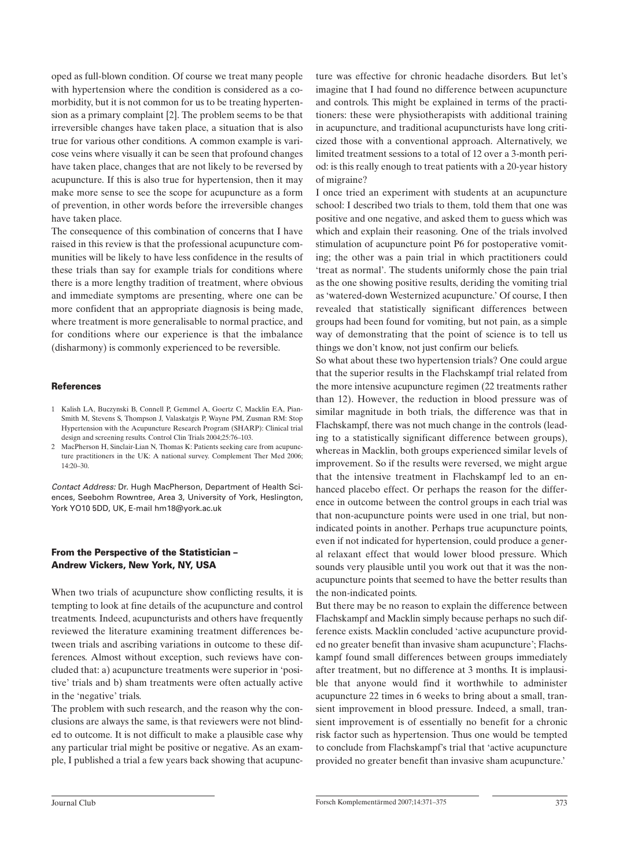oped as full-blown condition. Of course we treat many people with hypertension where the condition is considered as a comorbidity, but it is not common for us to be treating hypertension as a primary complaint [2]. The problem seems to be that irreversible changes have taken place, a situation that is also true for various other conditions. A common example is varicose veins where visually it can be seen that profound changes have taken place, changes that are not likely to be reversed by acupuncture. If this is also true for hypertension, then it may make more sense to see the scope for acupuncture as a form of prevention, in other words before the irreversible changes have taken place.

The consequence of this combination of concerns that I have raised in this review is that the professional acupuncture communities will be likely to have less confidence in the results of these trials than say for example trials for conditions where there is a more lengthy tradition of treatment, where obvious and immediate symptoms are presenting, where one can be more confident that an appropriate diagnosis is being made, where treatment is more generalisable to normal practice, and for conditions where our experience is that the imbalance (disharmony) is commonly experienced to be reversible.

#### **References**

- 1 Kalish LA, Buczynski B, Connell P, Gemmel A, Goertz C, Macklin EA, Pian-Smith M, Stevens S, Thompson J, Valaskatgis P, Wayne PM, Zusman RM: Stop Hypertension with the Acupuncture Research Program (SHARP): Clinical trial design and screening results. Control Clin Trials 2004;25:76–103.
- 2 MacPherson H, Sinclair-Lian N, Thomas K: Patients seeking care from acupuncture practitioners in the UK: A national survey. Complement Ther Med 2006; 14:20–30.

*Contact Address:* Dr. Hugh MacPherson, Department of Health Sciences, Seebohm Rowntree, Area 3, University of York, Heslington, York YO10 5DD, UK, E-mail hm18@york.ac.uk

#### **From the Perspective of the Statistician – Andrew Vickers, New York, NY, USA**

When two trials of acupuncture show conflicting results, it is tempting to look at fine details of the acupuncture and control treatments. Indeed, acupuncturists and others have frequently reviewed the literature examining treatment differences between trials and ascribing variations in outcome to these differences. Almost without exception, such reviews have concluded that: a) acupuncture treatments were superior in 'positive' trials and b) sham treatments were often actually active in the 'negative' trials.

The problem with such research, and the reason why the conclusions are always the same, is that reviewers were not blinded to outcome. It is not difficult to make a plausible case why any particular trial might be positive or negative. As an example, I published a trial a few years back showing that acupuncture was effective for chronic headache disorders. But let's imagine that I had found no difference between acupuncture and controls. This might be explained in terms of the practitioners: these were physiotherapists with additional training in acupuncture, and traditional acupuncturists have long criticized those with a conventional approach. Alternatively, we limited treatment sessions to a total of 12 over a 3-month period: is this really enough to treat patients with a 20-year history of migraine?

I once tried an experiment with students at an acupuncture school: I described two trials to them, told them that one was positive and one negative, and asked them to guess which was which and explain their reasoning. One of the trials involved stimulation of acupuncture point P6 for postoperative vomiting; the other was a pain trial in which practitioners could 'treat as normal'. The students uniformly chose the pain trial as the one showing positive results, deriding the vomiting trial as 'watered-down Westernized acupuncture.' Of course, I then revealed that statistically significant differences between groups had been found for vomiting, but not pain, as a simple way of demonstrating that the point of science is to tell us things we don't know, not just confirm our beliefs.

So what about these two hypertension trials? One could argue that the superior results in the Flachskampf trial related from the more intensive acupuncture regimen (22 treatments rather than 12). However, the reduction in blood pressure was of similar magnitude in both trials, the difference was that in Flachskampf, there was not much change in the controls (leading to a statistically significant difference between groups), whereas in Macklin, both groups experienced similar levels of improvement. So if the results were reversed, we might argue that the intensive treatment in Flachskampf led to an enhanced placebo effect. Or perhaps the reason for the difference in outcome between the control groups in each trial was that non-acupuncture points were used in one trial, but nonindicated points in another. Perhaps true acupuncture points, even if not indicated for hypertension, could produce a general relaxant effect that would lower blood pressure. Which sounds very plausible until you work out that it was the nonacupuncture points that seemed to have the better results than the non-indicated points.

But there may be no reason to explain the difference between Flachskampf and Macklin simply because perhaps no such difference exists. Macklin concluded 'active acupuncture provided no greater benefit than invasive sham acupuncture'; Flachskampf found small differences between groups immediately after treatment, but no difference at 3 months. It is implausible that anyone would find it worthwhile to administer acupuncture 22 times in 6 weeks to bring about a small, transient improvement in blood pressure. Indeed, a small, transient improvement is of essentially no benefit for a chronic risk factor such as hypertension. Thus one would be tempted to conclude from Flachskampf's trial that 'active acupuncture provided no greater benefit than invasive sham acupuncture.'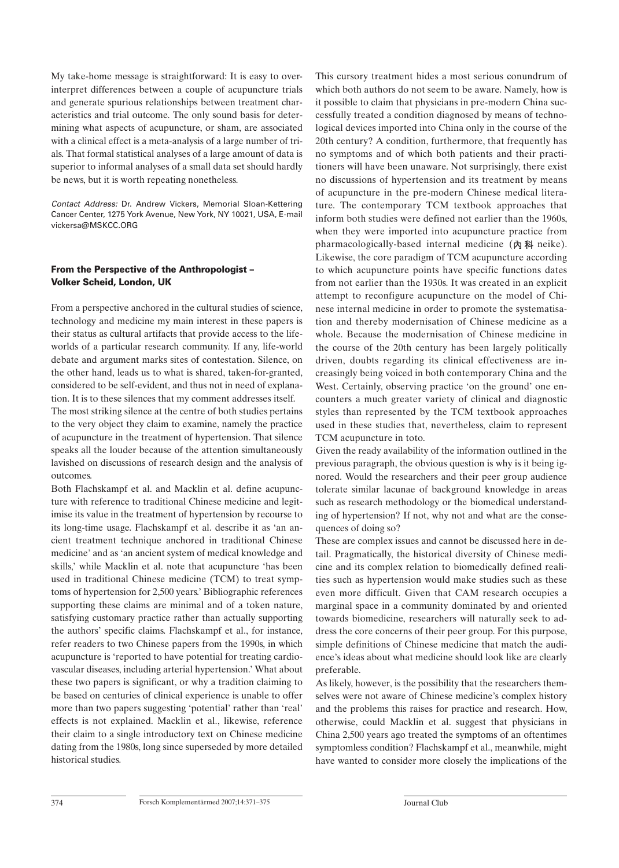My take-home message is straightforward: It is easy to overinterpret differences between a couple of acupuncture trials and generate spurious relationships between treatment characteristics and trial outcome. The only sound basis for determining what aspects of acupuncture, or sham, are associated with a clinical effect is a meta-analysis of a large number of trials. That formal statistical analyses of a large amount of data is superior to informal analyses of a small data set should hardly be news, but it is worth repeating nonetheless.

*Contact Address:* Dr. Andrew Vickers, Memorial Sloan-Kettering Cancer Center, 1275 York Avenue, New York, NY 10021, USA, E-mail vickersa@MSKCC.ORG

## **From the Perspective of the Anthropologist – Volker Scheid, London, UK**

From a perspective anchored in the cultural studies of science, technology and medicine my main interest in these papers is their status as cultural artifacts that provide access to the lifeworlds of a particular research community. If any, life-world debate and argument marks sites of contestation. Silence, on the other hand, leads us to what is shared, taken-for-granted, considered to be self-evident, and thus not in need of explanation. It is to these silences that my comment addresses itself.

The most striking silence at the centre of both studies pertains to the very object they claim to examine, namely the practice of acupuncture in the treatment of hypertension. That silence speaks all the louder because of the attention simultaneously lavished on discussions of research design and the analysis of outcomes.

Both Flachskampf et al. and Macklin et al. define acupuncture with reference to traditional Chinese medicine and legitimise its value in the treatment of hypertension by recourse to its long-time usage. Flachskampf et al. describe it as 'an ancient treatment technique anchored in traditional Chinese medicine' and as 'an ancient system of medical knowledge and skills,' while Macklin et al. note that acupuncture 'has been used in traditional Chinese medicine (TCM) to treat symptoms of hypertension for 2,500 years.' Bibliographic references supporting these claims are minimal and of a token nature, satisfying customary practice rather than actually supporting the authors' specific claims. Flachskampf et al., for instance, refer readers to two Chinese papers from the 1990s, in which acupuncture is 'reported to have potential for treating cardiovascular diseases, including arterial hypertension.' What about these two papers is significant, or why a tradition claiming to be based on centuries of clinical experience is unable to offer more than two papers suggesting 'potential' rather than 'real' effects is not explained. Macklin et al., likewise, reference their claim to a single introductory text on Chinese medicine dating from the 1980s, long since superseded by more detailed historical studies.

This cursory treatment hides a most serious conundrum of which both authors do not seem to be aware. Namely, how is it possible to claim that physicians in pre-modern China successfully treated a condition diagnosed by means of technological devices imported into China only in the course of the 20th century? A condition, furthermore, that frequently has no symptoms and of which both patients and their practitioners will have been unaware. Not surprisingly, there exist no discussions of hypertension and its treatment by means of acupuncture in the pre-modern Chinese medical literature. The contemporary TCM textbook approaches that inform both studies were defined not earlier than the 1960s, when they were imported into acupuncture practice from pharmacologically-based internal medicine  $(A \otimes R)$  neike). Likewise, the core paradigm of TCM acupuncture according to which acupuncture points have specific functions dates from not earlier than the 1930s. It was created in an explicit attempt to reconfigure acupuncture on the model of Chinese internal medicine in order to promote the systematisation and thereby modernisation of Chinese medicine as a whole. Because the modernisation of Chinese medicine in the course of the 20th century has been largely politically driven, doubts regarding its clinical effectiveness are increasingly being voiced in both contemporary China and the West. Certainly, observing practice 'on the ground' one encounters a much greater variety of clinical and diagnostic styles than represented by the TCM textbook approaches used in these studies that, nevertheless, claim to represent TCM acupuncture in toto.

Given the ready availability of the information outlined in the previous paragraph, the obvious question is why is it being ignored. Would the researchers and their peer group audience tolerate similar lacunae of background knowledge in areas such as research methodology or the biomedical understanding of hypertension? If not, why not and what are the consequences of doing so?

These are complex issues and cannot be discussed here in detail. Pragmatically, the historical diversity of Chinese medicine and its complex relation to biomedically defined realities such as hypertension would make studies such as these even more difficult. Given that CAM research occupies a marginal space in a community dominated by and oriented towards biomedicine, researchers will naturally seek to address the core concerns of their peer group. For this purpose, simple definitions of Chinese medicine that match the audience's ideas about what medicine should look like are clearly preferable.

As likely, however, is the possibility that the researchers themselves were not aware of Chinese medicine's complex history and the problems this raises for practice and research. How, otherwise, could Macklin et al. suggest that physicians in China 2,500 years ago treated the symptoms of an oftentimes symptomless condition? Flachskampf et al., meanwhile, might have wanted to consider more closely the implications of the